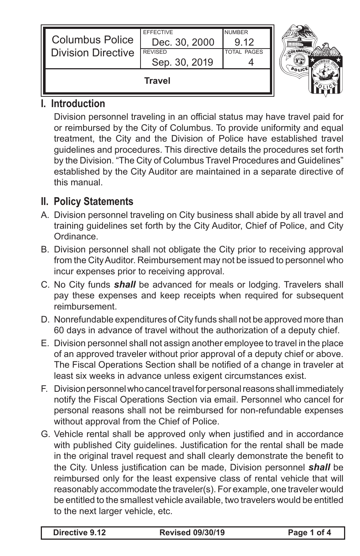| <b>Columbus Police</b><br><b>Division Directive</b> | Dec. 30, 2000<br><b>REVISED</b><br>Sep. 30, 2019 | 912<br><b>TOTAL PAGES</b> | <b>COLUMBI</b> |
|-----------------------------------------------------|--------------------------------------------------|---------------------------|----------------|
| Travel                                              |                                                  |                           |                |

## **I. Introduction**

 Division personnel traveling in an official status may have travel paid for or reimbursed by the City of Columbus. To provide uniformity and equal treatment, the City and the Division of Police have established travel guidelines and procedures. This directive details the procedures set forth by the Division. "The City of Columbus Travel Procedures and Guidelines" established by the City Auditor are maintained in a separate directive of this manual.

## **II. Policy Statements**

- A. Division personnel traveling on City business shall abide by all travel and training guidelines set forth by the City Auditor, Chief of Police, and City Ordinance.
- B. Division personnel shall not obligate the City prior to receiving approval from the CityAuditor. Reimbursement may not be issued to personnel who incur expenses prior to receiving approval.
- C. No City funds *shall* be advanced for meals or lodging. Travelers shall pay these expenses and keep receipts when required for subsequent reimbursement.
- D. Nonrefundable expenditures of City funds shall not be approved more than 60 days in advance of travel without the authorization of a deputy chief.
- E. Division personnel shall not assign another employee to travel in the place of an approved traveler without prior approval of a deputy chief or above. The Fiscal Operations Section shall be notified of a change in traveler at least six weeks in advance unless exigent circumstances exist.
- F. Division personnel who cancel travel for personal reasons shall immediately notify the Fiscal Operations Section via email. Personnel who cancel for personal reasons shall not be reimbursed for non-refundable expenses without approval from the Chief of Police.
- G. Vehicle rental shall be approved only when justified and in accordance with published City guidelines. Justification for the rental shall be made in the original travel request and shall clearly demonstrate the benefit to the City. Unless justification can be made, Division personnel *shall* be reimbursed only for the least expensive class of rental vehicle that will reasonably accommodate the traveler(s). For example, one traveler would be entitled to the smallest vehicle available, two travelers would be entitled to the next larger vehicle, etc.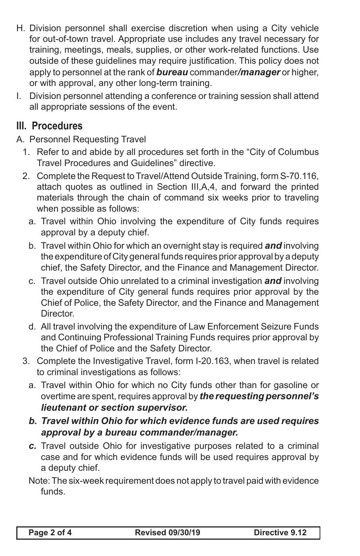- H. Division personnel shall exercise discretion when using a City vehicle for out-of-town travel. Appropriate use includes any travel necessary for training, meetings, meals, supplies, or other work-related functions. Use outside of these guidelines may require justification. This policy does not apply to personnel at the rank of *bureau* commander*/manager* or higher, or with approval, any other long-term training.
- I. Division personnel attending a conference or training session shall attend all appropriate sessions of the event.

## **III. Procedures**

- A. Personnel Requesting Travel
	- 1. Refer to and abide by all procedures set forth in the "City of Columbus" Travel Procedures and Guidelines" directive.
	- 2. Complete the Request to Travel/Attend Outside Training, form S-70.116, attach quotes as outlined in Section III,A,4, and forward the printed materials through the chain of command six weeks prior to traveling when possible as follows:
		- a. Travel within Ohio involving the expenditure of City funds requires approval by a deputy chief.
		- b. Travel within Ohio for which an overnight stay is required **and** involving the expenditure of City general funds requires prior approval by a deputy chief, the Safety Director, and the Finance and Management Director.
		- c. Travel outside Ohio unrelated to a criminal investigation *and* involving the expenditure of City general funds requires prior approval by the Chief of Police, the Safety Director, and the Finance and Management Director.
		- d. All travel involving the expenditure of Law Enforcement Seizure Funds and Continuing Professional Training Funds requires prior approval by the Chief of Police and the Safety Director.
	- 3. Complete the Investigative Travel, form I-20.163, when travel is related to criminal investigations as follows:
		- a. Travel within Ohio for which no City funds other than for gasoline or overtime are spent, requires approval by *the requesting personnel's lieutenant or section supervisor.*
		- *b. Travel within Ohio for which evidence funds are used requires approval by a bureau commander/manager.*
		- *c.* Travel outside Ohio for investigative purposes related to a criminal case and for which evidence funds will be used requires approval by a deputy chief.
		- Note:The six-week requirement does not apply to travel paid with evidence funds.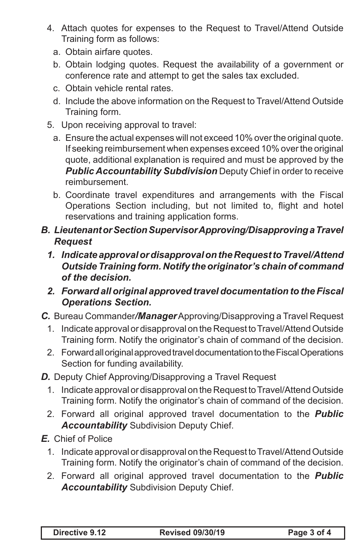- 4. Attach quotes for expenses to the Request to Travel/Attend Outside Training form as follows:
	- a. Obtain airfare quotes.
	- b. Obtain lodging quotes. Request the availability of a government or conference rate and attempt to get the sales tax excluded.
	- c. Obtain vehicle rental rates.
	- d. Include the above information on the Request to Travel/Attend Outside Training form.
- 5. Upon receiving approval to travel:
	- a. Ensure the actual expenses will not exceed 10% over the original quote. If seeking reimbursement when expenses exceed 10% over the original quote, additional explanation is required and must be approved by the *Public Accountability Subdivision* Deputy Chief in order to receive reimbursement.
	- b. Coordinate travel expenditures and arrangements with the Fiscal Operations Section including, but not limited to, flight and hotel reservations and training application forms.
- *B. Lieutenant or Section Supervisor Approving/Disapproving a Travel Request*
	- *1. Indicate approval or disapproval on the Request to Travel/Attend Outside Training form. Notify the originator's chain of command of the decision.*
	- *2. Forward all original approved travel documentation to the Fiscal Operations Section.*
- *C.* Bureau Commander*/Manager*Approving/Disapproving a Travel Request
	- 1. Indicate approval or disapproval on the Request to Travel/Attend Outside Training form. Notify the originator's chain of command of the decision.
	- 2. Forward all original approved travel documentation to the Fiscal Operations Section for funding availability.
- *D.* Deputy Chief Approving/Disapproving a Travel Request
	- 1. Indicate approval or disapproval on the Request to Travel/Attend Outside Training form. Notify the originator's chain of command of the decision.
	- 2. Forward all original approved travel documentation to the *Public Accountability* Subdivision Deputy Chief.
- *E.* Chief of Police
	- 1. Indicate approval or disapproval on the Request to Travel/Attend Outside Training form. Notify the originator's chain of command of the decision.
	- 2. Forward all original approved travel documentation to the *Public Accountability* Subdivision Deputy Chief.